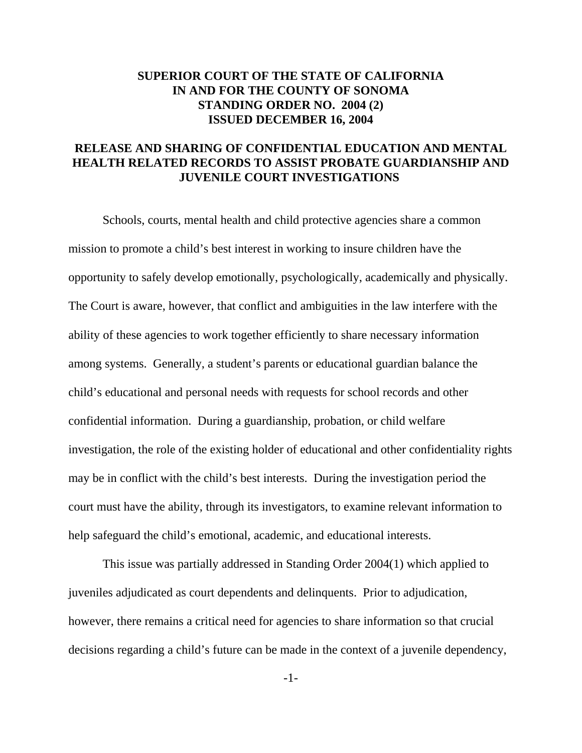## **SUPERIOR COURT OF THE STATE OF CALIFORNIA IN AND FOR THE COUNTY OF SONOMA STANDING ORDER NO. 2004 (2) ISSUED DECEMBER 16, 2004**

## **RELEASE AND SHARING OF CONFIDENTIAL EDUCATION AND MENTAL HEALTH RELATED RECORDS TO ASSIST PROBATE GUARDIANSHIP AND JUVENILE COURT INVESTIGATIONS**

Schools, courts, mental health and child protective agencies share a common mission to promote a child's best interest in working to insure children have the opportunity to safely develop emotionally, psychologically, academically and physically. The Court is aware, however, that conflict and ambiguities in the law interfere with the ability of these agencies to work together efficiently to share necessary information among systems. Generally, a student's parents or educational guardian balance the child's educational and personal needs with requests for school records and other confidential information. During a guardianship, probation, or child welfare investigation, the role of the existing holder of educational and other confidentiality rights may be in conflict with the child's best interests. During the investigation period the court must have the ability, through its investigators, to examine relevant information to help safeguard the child's emotional, academic, and educational interests.

This issue was partially addressed in Standing Order 2004(1) which applied to juveniles adjudicated as court dependents and delinquents. Prior to adjudication, however, there remains a critical need for agencies to share information so that crucial decisions regarding a child's future can be made in the context of a juvenile dependency,

-1-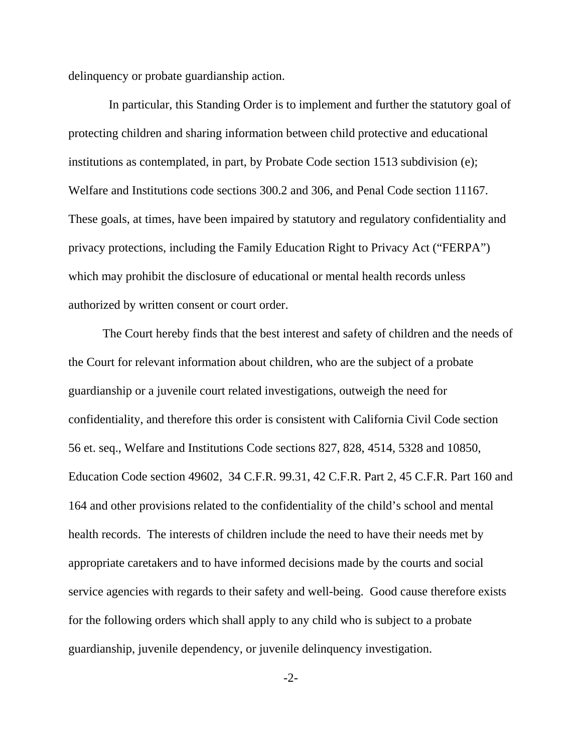delinquency or probate guardianship action.

 In particular, this Standing Order is to implement and further the statutory goal of protecting children and sharing information between child protective and educational institutions as contemplated, in part, by Probate Code section 1513 subdivision (e); Welfare and Institutions code sections 300.2 and 306, and Penal Code section 11167. These goals, at times, have been impaired by statutory and regulatory confidentiality and privacy protections, including the Family Education Right to Privacy Act ("FERPA") which may prohibit the disclosure of educational or mental health records unless authorized by written consent or court order.

The Court hereby finds that the best interest and safety of children and the needs of the Court for relevant information about children, who are the subject of a probate guardianship or a juvenile court related investigations, outweigh the need for confidentiality, and therefore this order is consistent with California Civil Code section 56 et. seq., Welfare and Institutions Code sections 827, 828, 4514, 5328 and 10850, Education Code section 49602, 34 C.F.R. 99.31, 42 C.F.R. Part 2, 45 C.F.R. Part 160 and 164 and other provisions related to the confidentiality of the child's school and mental health records. The interests of children include the need to have their needs met by appropriate caretakers and to have informed decisions made by the courts and social service agencies with regards to their safety and well-being. Good cause therefore exists for the following orders which shall apply to any child who is subject to a probate guardianship, juvenile dependency, or juvenile delinquency investigation.

-2-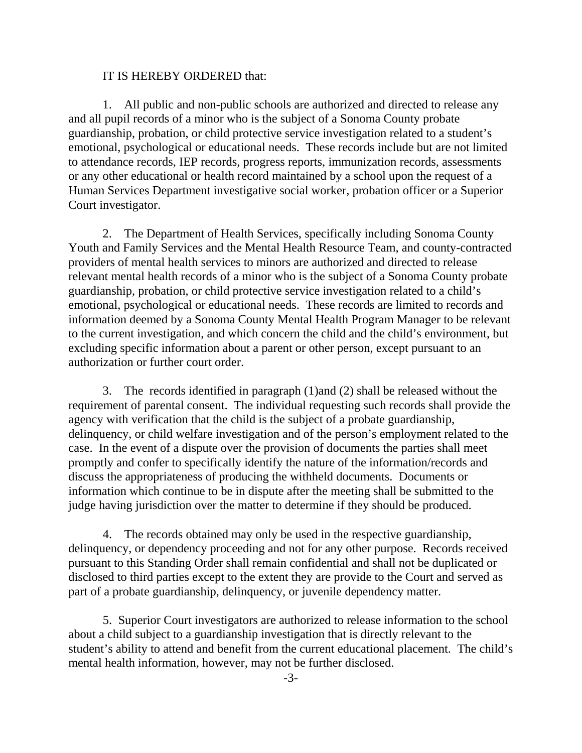## IT IS HEREBY ORDERED that:

1. All public and non-public schools are authorized and directed to release any and all pupil records of a minor who is the subject of a Sonoma County probate guardianship, probation, or child protective service investigation related to a student's emotional, psychological or educational needs. These records include but are not limited to attendance records, IEP records, progress reports, immunization records, assessments or any other educational or health record maintained by a school upon the request of a Human Services Department investigative social worker, probation officer or a Superior Court investigator.

2. The Department of Health Services, specifically including Sonoma County Youth and Family Services and the Mental Health Resource Team, and county-contracted providers of mental health services to minors are authorized and directed to release relevant mental health records of a minor who is the subject of a Sonoma County probate guardianship, probation, or child protective service investigation related to a child's emotional, psychological or educational needs. These records are limited to records and information deemed by a Sonoma County Mental Health Program Manager to be relevant to the current investigation, and which concern the child and the child's environment, but excluding specific information about a parent or other person, except pursuant to an authorization or further court order.

3. The records identified in paragraph (1)and (2) shall be released without the requirement of parental consent. The individual requesting such records shall provide the agency with verification that the child is the subject of a probate guardianship, delinquency, or child welfare investigation and of the person's employment related to the case. In the event of a dispute over the provision of documents the parties shall meet promptly and confer to specifically identify the nature of the information/records and discuss the appropriateness of producing the withheld documents. Documents or information which continue to be in dispute after the meeting shall be submitted to the judge having jurisdiction over the matter to determine if they should be produced.

 4. The records obtained may only be used in the respective guardianship, delinquency, or dependency proceeding and not for any other purpose. Records received pursuant to this Standing Order shall remain confidential and shall not be duplicated or disclosed to third parties except to the extent they are provide to the Court and served as part of a probate guardianship, delinquency, or juvenile dependency matter.

 5. Superior Court investigators are authorized to release information to the school about a child subject to a guardianship investigation that is directly relevant to the student's ability to attend and benefit from the current educational placement. The child's mental health information, however, may not be further disclosed.